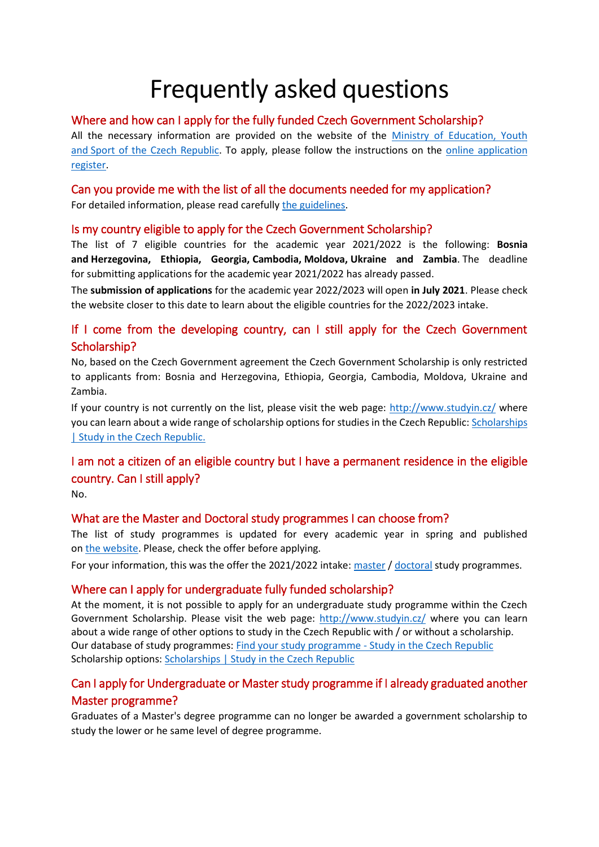# Frequently asked questions

#### Where and how can I apply for the fully funded Czech Government Scholarship?

All the necessary information are provided on the website of the [Ministry of Education, Youth](http://www.msmt.cz/eu-and-international-affairs/government-scholarships-developing-countries)  and [Sport of the Czech Republic.](http://www.msmt.cz/eu-and-international-affairs/government-scholarships-developing-countries) To apply, please follow the instructions on the [online application](http://registr.dzs.cz/registr.nsf/login.xsp?version=eng)  [register.](http://registr.dzs.cz/registr.nsf/login.xsp?version=eng)

## Can you provide me with the list of all the documents needed for my application?

For detailed information, please read carefully [the guidelines.](http://registr.dzs.cz/registr.nsf/dispozice_eng.pdf)

#### Is my country eligible to apply for the Czech Government Scholarship?

The list of 7 eligible countries for the academic year 2021/2022 is the following: **Bosnia and Herzegovina, Ethiopia, Georgia, Cambodia, Moldova, Ukraine and Zambia**. The deadline for submitting applications for the academic year 2021/2022 has already passed.

The **submission of applications** for the academic year 2022/2023 will open **in July 2021**. Please check the website closer to this date to learn about the eligible countries for the 2022/2023 intake.

### If I come from the developing country, can I still apply for the Czech Government Scholarship?

No, based on the Czech Government agreement the Czech Government Scholarship is only restricted to applicants from: Bosnia and Herzegovina, Ethiopia, Georgia, Cambodia, Moldova, Ukraine and Zambia.

If your country is not currently on the list, please visit the web page:<http://www.studyin.cz/> where you can learn about a wide range of scholarship options for studies in the Czech Republic: [Scholarships](https://www.studyin.cz/plan-your-studies/scholarships/)  [| Study in the Czech Republic.](https://www.studyin.cz/plan-your-studies/scholarships/)

## I am not a citizen of an eligible country but I have a permanent residence in the eligible country. Can I still apply?

No.

## What are the Master and Doctoral study programmes I can choose from?

The list of study programmes is updated for every academic year in spring and published on the [website.](https://www.msmt.cz/eu-and-international-affairs/government-scholarships-developing-countries?lang=2) Please, check the offer before applying.

For your information, this was the offer the 2021/2022 intake[: master](https://www.msmt.cz/file/53422/) / [doctoral](https://www.msmt.cz/file/53421/) study programmes.

## Where can I apply for undergraduate fully funded scholarship?

At the moment, it is not possible to apply for an undergraduate study programme within the Czech Government Scholarship. Please visit the web page:<http://www.studyin.cz/> where you can learn about a wide range of other options to study in the Czech Republic with / or without a scholarship. Our database of study programmes[: Find your study programme -](https://portal.studyin.cz/en/) Study in the Czech Republic Scholarship options[: Scholarships | Study in the Czech Republic](https://www.studyin.cz/plan-your-studies/scholarships/)

## Can I apply for Undergraduate or Master study programme if I already graduated another Master programme?

Graduates of a Master's degree programme can no longer be awarded a government scholarship to study the lower or he same level of degree programme.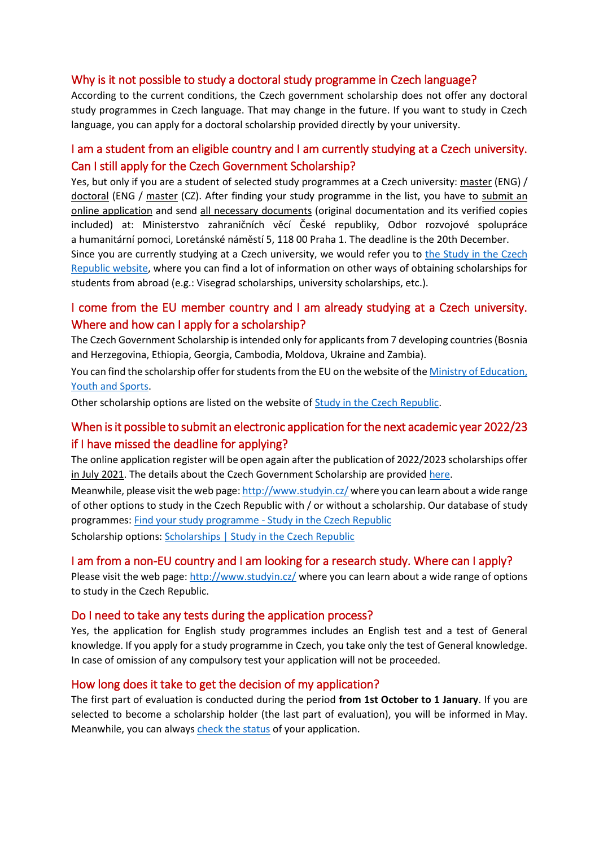#### Why is it not possible to study a doctoral study programme in Czech language?

According to the current conditions, the Czech government scholarship does not offer any doctoral study programmes in Czech language. That may change in the future. If you want to study in Czech language, you can apply for a doctoral scholarship provided directly by your university.

#### I am a student from an eligible country and I am currently studying at a Czech university. Can I still apply for the Czech Government Scholarship?

Yes, but only if you are a student of selected study programmes at a Czech university: [master](https://www.msmt.cz/file/53422/) (ENG) / [doctoral](https://www.msmt.cz/file/53421/) (ENG / [master](https://www.msmt.cz/file/53420/) (CZ). After finding your study programme in the list, you have to submit an [online application](http://registr.dzs.cz/) and send [all necessary documents](http://registr.dzs.cz/registr.nsf/dispozice_eng.pdf) (original documentation and its verified copies included) at: Ministerstvo zahraničních věcí České republiky, Odbor rozvojové spolupráce a humanitární pomoci, Loretánské náměstí 5, 118 00 Praha 1. The deadline is the 20th December.

Since you are currently studying at a Czech university, we would refer you to the Study in the Czech [Republic website,](https://www.studyin.cz/cs/studium/stipendia/) where you can find a lot of information on other ways of obtaining scholarships for students from abroad (e.g.: Visegrad scholarships, university scholarships, etc.).

#### I come from the EU member country and I am already studying at a Czech university. Where and how can I apply for a scholarship?

The Czech Government Scholarship is intended only for applicants from 7 developing countries (Bosnia and Herzegovina, Ethiopia, Georgia, Cambodia, Moldova, Ukraine and Zambia).

You can find the scholarship offer for students from the EU on the website of th[e Ministry of Education,](https://www.msmt.cz/eu-and-international-affairs/scholarships-for-the-academic-year-2021-2022)  [Youth and Sports.](https://www.msmt.cz/eu-and-international-affairs/scholarships-for-the-academic-year-2021-2022)

Other scholarship options are listed on the website of [Study in the Czech Republic.](https://www.studyin.cz/cs/studium/stipendia/)

#### When is it possible to submit an electronic application for the next academic year 2022/23 if I have missed the deadline for applying?

The online application register will be open again after the publication of 2022/2023 scholarships offer in July 2021. The details about the Czech Government Scholarship are provide[d here.](http://www.msmt.cz/eu-and-international-affairs/government-scholarships-developing-countries)

Meanwhile, please visit the web page:<http://www.studyin.cz/> where you can learn about a wide range of other options to study in the Czech Republic with / or without a scholarship. Our database of study programmes: [Find your study programme -](https://portal.studyin.cz/en/) Study in the Czech Republic

Scholarship options[: Scholarships | Study in the Czech Republic](https://www.studyin.cz/plan-your-studies/scholarships/)

#### I am from a non-EU country and I am looking for a research study. Where can I apply?

Please visit the web page[: http://www.studyin.cz/](http://www.studyin.cz/) where you can learn about a wide range of options to study in the Czech Republic.

#### Do I need to take any tests during the application process?

Yes, the application for English study programmes includes an English test and a test of General knowledge. If you apply for a study programme in Czech, you take only the test of General knowledge. In case of omission of any compulsory test your application will not be proceeded.

#### How long does it take to get the decision of my application?

The first part of evaluation is conducted during the period **from 1st October to 1 January**. If you are selected to become a scholarship holder (the last part of evaluation), you will be informed in May. Meanwhile, you can always [check the status](http://registr.dzs.cz/registr.nsf/login.xsp?version=eng) of your application.